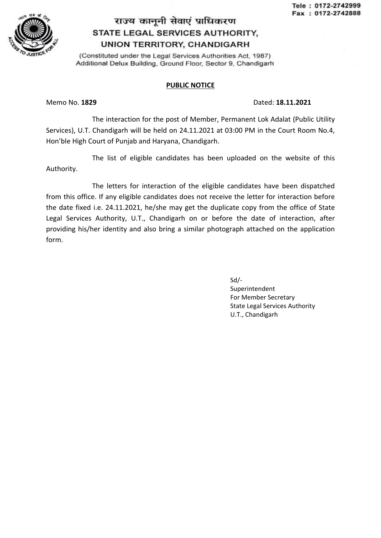

## राज्य कानूनी सेवाएं प्राधिकरण STATE LEGAL SERVICES AUTHORITY, **UNION TERRITORY, CHANDIGARH**

(Constituted under the Legal Services Authorities Act, 1987) Additional Delux Building, Ground Floor, Sector 9, Chandigarh

## PUBLIC NOTICE

## Memo No. 1829 Dated: 18.11.2021

The interaction for the post of Member, Permanent Lok Adalat (Public Utility Services), U.T. Chandigarh will be held on 24.11.2021 at 03:00 PM in the Court Room No.4, Hon'ble High Court of Punjab and Haryana, Chandigarh.

The list of eligible candidates has been uploaded on the website of this Authority.

The letters for interaction of the eligible candidates have been dispatched from this office. If any eligible candidates does not receive the letter for interaction before the date fixed i.e. 24.11.2021, he/she may get the duplicate copy from the office of State Legal Services Authority, U.T., Chandigarh on or before the date of interaction, after providing his/her identity and also bring a similar photograph attached on the application form.

> Sd/- Superintendent For Member Secretary State Legal Services Authority U.T., Chandigarh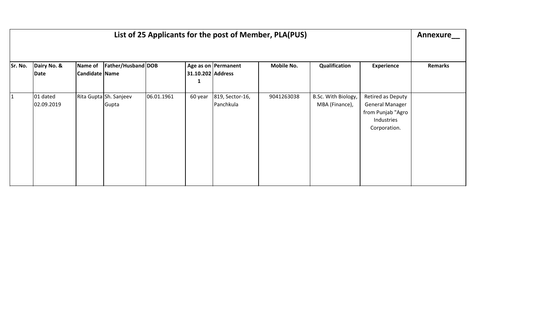| List of 25 Applicants for the post of Member, PLA(PUS) |                        |                           |                                 |            |                   |                              |                   |                                       |                                                                                                |                |
|--------------------------------------------------------|------------------------|---------------------------|---------------------------------|------------|-------------------|------------------------------|-------------------|---------------------------------------|------------------------------------------------------------------------------------------------|----------------|
| Sr. No.                                                | Dairy No. &<br>Date    | Name of<br>Candidate Name | Father/Husband DOB              |            | 31.10.202 Address | Age as on Permanent          | <b>Mobile No.</b> | Qualification                         | <b>Experience</b>                                                                              | <b>Remarks</b> |
| 11                                                     | 01 dated<br>02.09.2019 |                           | Rita Gupta Sh. Sanjeev<br>Gupta | 06.01.1961 | 60 year           | 819, Sector-16,<br>Panchkula | 9041263038        | B.Sc. With Biology,<br>MBA (Finance), | Retired as Deputy<br><b>General Manager</b><br>from Punjab "Agro<br>Industries<br>Corporation. |                |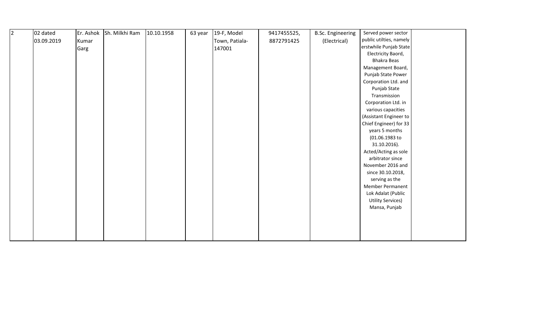| 2 | 02 dated   | Er. Ashok | Sh. Milkhi Ram | 10.10.1958 | 63 year | 19-F, Model    | 9417455525, | <b>B.Sc. Engineering</b> | Served power sector      |  |
|---|------------|-----------|----------------|------------|---------|----------------|-------------|--------------------------|--------------------------|--|
|   | 03.09.2019 | Kumar     |                |            |         | Town, Patiala- | 8872791425  | (Electrical)             | public utilties, namely  |  |
|   |            | Garg      |                |            |         | 147001         |             |                          | erstwhile Punjab State   |  |
|   |            |           |                |            |         |                |             |                          | Electricity Baord,       |  |
|   |            |           |                |            |         |                |             |                          | <b>Bhakra Beas</b>       |  |
|   |            |           |                |            |         |                |             |                          | Management Board,        |  |
|   |            |           |                |            |         |                |             |                          | Punjab State Power       |  |
|   |            |           |                |            |         |                |             |                          | Corporation Ltd. and     |  |
|   |            |           |                |            |         |                |             |                          | Punjab State             |  |
|   |            |           |                |            |         |                |             |                          | Transmission             |  |
|   |            |           |                |            |         |                |             |                          | Corporation Ltd. in      |  |
|   |            |           |                |            |         |                |             |                          | various capacities       |  |
|   |            |           |                |            |         |                |             |                          | (Assistant Engineer to   |  |
|   |            |           |                |            |         |                |             |                          | Chief Engineer) for 33   |  |
|   |            |           |                |            |         |                |             |                          | years 5 months           |  |
|   |            |           |                |            |         |                |             |                          | (01.06.1983 to           |  |
|   |            |           |                |            |         |                |             |                          | 31.10.2016).             |  |
|   |            |           |                |            |         |                |             |                          | Acted/Acting as sole     |  |
|   |            |           |                |            |         |                |             |                          | arbitrator since         |  |
|   |            |           |                |            |         |                |             |                          | November 2016 and        |  |
|   |            |           |                |            |         |                |             |                          | since 30.10.2018,        |  |
|   |            |           |                |            |         |                |             |                          | serving as the           |  |
|   |            |           |                |            |         |                |             |                          | Member Permanent         |  |
|   |            |           |                |            |         |                |             |                          | Lok Adalat (Public       |  |
|   |            |           |                |            |         |                |             |                          | <b>Utility Services)</b> |  |
|   |            |           |                |            |         |                |             |                          | Mansa, Punjab            |  |
|   |            |           |                |            |         |                |             |                          |                          |  |
|   |            |           |                |            |         |                |             |                          |                          |  |
|   |            |           |                |            |         |                |             |                          |                          |  |
|   |            |           |                |            |         |                |             |                          |                          |  |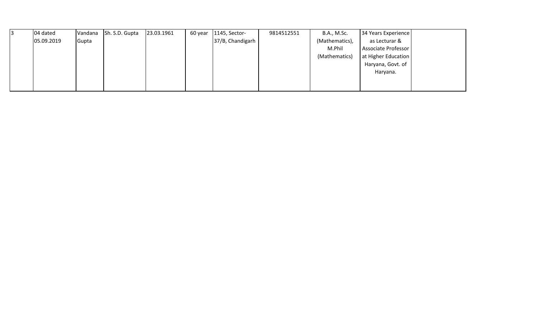| 04 dated   | Vandana | Sh. S.D. Gupta | 23.03.1961 | 60 year $\vert$ 1145, Sector- | 9814512551 | B.A., M.Sc.    | 34 Years Experience |  |
|------------|---------|----------------|------------|-------------------------------|------------|----------------|---------------------|--|
| 05.09.2019 | Gupta   |                |            | 37/B, Chandigarh              |            | (Mathematics), | as Lecturar &       |  |
|            |         |                |            |                               |            | M.Phil         | Associate Professor |  |
|            |         |                |            |                               |            | (Mathematics)  | at Higher Education |  |
|            |         |                |            |                               |            |                | Haryana, Govt. of   |  |
|            |         |                |            |                               |            |                | Haryana.            |  |
|            |         |                |            |                               |            |                |                     |  |
|            |         |                |            |                               |            |                |                     |  |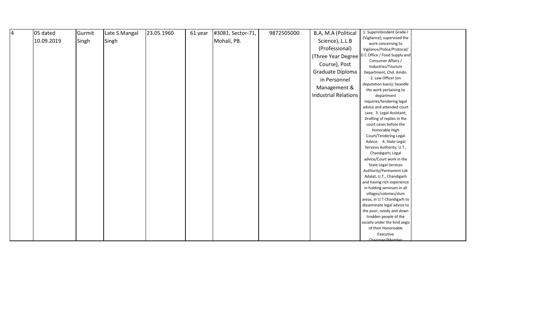| <b>4</b> | 05 dated   | Gurmit | Late S.Mangal | 23.05.1960 | 61 year | #3081, Sector-71, | 9872505000 | B.A, M.A (Political         | 1. Superintendent Grade-I                    |
|----------|------------|--------|---------------|------------|---------|-------------------|------------|-----------------------------|----------------------------------------------|
|          | 10.09.2019 | Singh  | Singh         |            |         | Mohali, PB.       |            | Science), L.L.B             | (Vigilance); supervised the                  |
|          |            |        |               |            |         |                   |            |                             | work concerning to                           |
|          |            |        |               |            |         |                   |            | (Professional)              | Vigilance/Police/Protocal/                   |
|          |            |        |               |            |         |                   |            | (Three Year Degree)         | D.C Office / Food Supply and                 |
|          |            |        |               |            |         |                   |            | Course), Post               | Consumer Affairs /                           |
|          |            |        |               |            |         |                   |            | Graduate Diploma            | Industries/Tourism                           |
|          |            |        |               |            |         |                   |            |                             | Department, Chd. Amdn.<br>2. Law Officer (on |
|          |            |        |               |            |         |                   |            | in Personnel                | deputation basis); heandle                   |
|          |            |        |               |            |         |                   |            | Management &                | the work pertaining to                       |
|          |            |        |               |            |         |                   |            | <b>Industrial Relations</b> | department                                   |
|          |            |        |               |            |         |                   |            |                             | inquiries/tendering legal                    |
|          |            |        |               |            |         |                   |            |                             | advice and attended court                    |
|          |            |        |               |            |         |                   |            |                             | case. 3. Legal Assistant;                    |
|          |            |        |               |            |         |                   |            |                             | Drafting of replies in the                   |
|          |            |        |               |            |         |                   |            |                             | court cases before the                       |
|          |            |        |               |            |         |                   |            |                             | Honorable High                               |
|          |            |        |               |            |         |                   |            |                             | Court/Tendering Legal                        |
|          |            |        |               |            |         |                   |            |                             | Advice. 4. State Legal                       |
|          |            |        |               |            |         |                   |            |                             | Services Authority, U.T.,                    |
|          |            |        |               |            |         |                   |            |                             | Chandigarh; Legal                            |
|          |            |        |               |            |         |                   |            |                             | advice/Court work in the                     |
|          |            |        |               |            |         |                   |            |                             | <b>State Legal Services</b>                  |
|          |            |        |               |            |         |                   |            |                             | Authority/Permanent Lok                      |
|          |            |        |               |            |         |                   |            |                             | Adalat, U.T., Chandigarh                     |
|          |            |        |               |            |         |                   |            |                             | and having rich experience                   |
|          |            |        |               |            |         |                   |            |                             | in holding seminars in all                   |
|          |            |        |               |            |         |                   |            |                             | villages/colonies/slum                       |
|          |            |        |               |            |         |                   |            |                             | areas, in U.T Chandigarh to                  |
|          |            |        |               |            |         |                   |            |                             | disseminate legal advice to                  |
|          |            |        |               |            |         |                   |            |                             | the poor, needy and down                     |
|          |            |        |               |            |         |                   |            |                             | trodden people of the                        |
|          |            |        |               |            |         |                   |            |                             | society under the kind aegis                 |
|          |            |        |               |            |         |                   |            |                             | of then Honoroable<br>Executive              |
|          |            |        |               |            |         |                   |            |                             | Chairman/Member                              |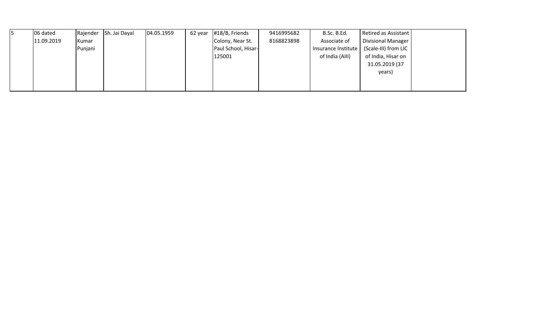| I5 | 06 dated   | Rajender       | Sh. Jai Dayal | [04.05.1959] | 62 year | #18/B, Friends      | 9416995682 | B.Sc. B.Ed.         | Retired as Assistant      |  |
|----|------------|----------------|---------------|--------------|---------|---------------------|------------|---------------------|---------------------------|--|
|    | 11.09.2019 | <b>I</b> Kumar |               |              |         | Colony, Near St.    | 8168823898 | Associate of        | <b>Divisional Manager</b> |  |
|    |            | Punjani        |               |              |         | Paul School, Hisar- |            | Insurance Institute | (Scale-III) from LIC      |  |
|    |            |                |               |              |         | 125001              |            | of India (AIII)     | of India, Hisar on        |  |
|    |            |                |               |              |         |                     |            |                     | 31.05.2019 (37            |  |
|    |            |                |               |              |         |                     |            |                     | years)                    |  |
|    |            |                |               |              |         |                     |            |                     |                           |  |
|    |            |                |               |              |         |                     |            |                     |                           |  |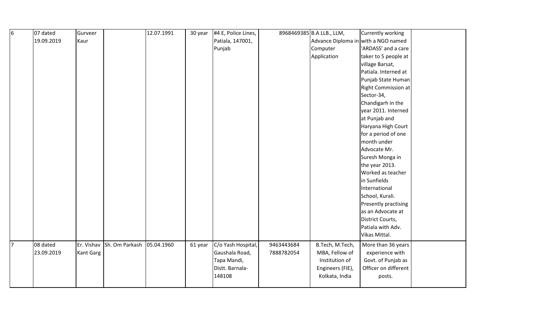| 6  | 07 dated   | Gurveer   |                           | 12.07.1991 | 30 year | #4 E, Police Lines, |            | 8968469385 B.A LLB., LLM,           | Currently working          |  |
|----|------------|-----------|---------------------------|------------|---------|---------------------|------------|-------------------------------------|----------------------------|--|
|    | 19.09.2019 | Kaur      |                           |            |         | Patiala, 147001,    |            | Advance Diploma in with a NGO named |                            |  |
|    |            |           |                           |            |         | Punjab              |            | Computer                            | 'ARDASS' and a care        |  |
|    |            |           |                           |            |         |                     |            | Application                         | taker to 5 people at       |  |
|    |            |           |                           |            |         |                     |            |                                     | village Barsat,            |  |
|    |            |           |                           |            |         |                     |            |                                     | Patiala. Interned at       |  |
|    |            |           |                           |            |         |                     |            |                                     | Punjab State Human         |  |
|    |            |           |                           |            |         |                     |            |                                     | <b>Right Commission at</b> |  |
|    |            |           |                           |            |         |                     |            |                                     | Sector-34,                 |  |
|    |            |           |                           |            |         |                     |            |                                     | Chandigarh in the          |  |
|    |            |           |                           |            |         |                     |            |                                     | year 2011. Interned        |  |
|    |            |           |                           |            |         |                     |            |                                     | at Punjab and              |  |
|    |            |           |                           |            |         |                     |            |                                     | Haryana High Court         |  |
|    |            |           |                           |            |         |                     |            |                                     | for a period of one        |  |
|    |            |           |                           |            |         |                     |            |                                     | month under                |  |
|    |            |           |                           |            |         |                     |            |                                     | Advocate Mr.               |  |
|    |            |           |                           |            |         |                     |            |                                     | Suresh Monga in            |  |
|    |            |           |                           |            |         |                     |            |                                     | the year 2013.             |  |
|    |            |           |                           |            |         |                     |            |                                     | Worked as teacher          |  |
|    |            |           |                           |            |         |                     |            |                                     | in Sunfields               |  |
|    |            |           |                           |            |         |                     |            |                                     | International              |  |
|    |            |           |                           |            |         |                     |            |                                     | School, Kurali.            |  |
|    |            |           |                           |            |         |                     |            |                                     | Presently practising       |  |
|    |            |           |                           |            |         |                     |            |                                     | as an Advocate at          |  |
|    |            |           |                           |            |         |                     |            |                                     | District Courts,           |  |
|    |            |           |                           |            |         |                     |            |                                     | Patiala with Adv.          |  |
|    |            |           |                           |            |         |                     |            |                                     | Vikas Mittal.              |  |
| 17 | 08 dated   |           | Er. Vishav Sh. Om Parkash | 05.04.1960 | 61 year | C/o Yash Hospital,  | 9463443684 | B.Tech, M.Tech,                     | More than 36 years         |  |
|    | 23.09.2019 | Kant Garg |                           |            |         | Gaushala Road,      | 7888782054 | MBA, Fellow of                      | experience with            |  |
|    |            |           |                           |            |         | Tapa Mandi,         |            | Institution of                      | Govt. of Punjab as         |  |
|    |            |           |                           |            |         | Distt. Barnala-     |            | Engineers (FIE),                    | Officer on different       |  |
|    |            |           |                           |            |         | 148108              |            | Kolkata, India                      | posts.                     |  |
|    |            |           |                           |            |         |                     |            |                                     |                            |  |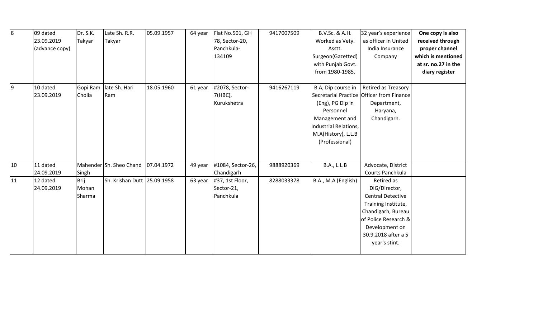| l8  | 09 dated       | Dr. S.K. | Late Sh. R.R.               | 05.09.1957 | 64 year | Flat No.501, GH   | 9417007509 | B.V.Sc. & A.H.        | 32 year's experience                      | One copy is also    |
|-----|----------------|----------|-----------------------------|------------|---------|-------------------|------------|-----------------------|-------------------------------------------|---------------------|
|     | 23.09.2019     | Takyar   | Takyar                      |            |         | 78, Sector-20,    |            | Worked as Vety.       | as officer in United                      | received through    |
|     | (advance copy) |          |                             |            |         | Panchkula-        |            | Asstt.                | India Insurance                           | proper channel      |
|     |                |          |                             |            |         | 134109            |            | Surgeon(Gazetted)     | Company                                   | which is mentioned  |
|     |                |          |                             |            |         |                   |            | with Punjab Govt.     |                                           | at sr. no.27 in the |
|     |                |          |                             |            |         |                   |            | from 1980-1985.       |                                           | diary register      |
|     |                |          |                             |            |         |                   |            |                       |                                           |                     |
| 19. | 10 dated       | Gopi Ram | late Sh. Hari               | 18.05.1960 | 61 year | #2078, Sector-    | 9416267119 | B.A, Dip course in    | <b>Retired as Treasory</b>                |                     |
|     | 23.09.2019     | Cholia   | Ram                         |            |         | 7(HBC),           |            |                       | Secretarial Practice Officer from Finance |                     |
|     |                |          |                             |            |         | Kurukshetra       |            | (Eng), PG Dip in      | Department,                               |                     |
|     |                |          |                             |            |         |                   |            | Personnel             | Haryana,                                  |                     |
|     |                |          |                             |            |         |                   |            | Management and        | Chandigarh.                               |                     |
|     |                |          |                             |            |         |                   |            | Industrial Relations, |                                           |                     |
|     |                |          |                             |            |         |                   |            | M.A(History), L.L.B   |                                           |                     |
|     |                |          |                             |            |         |                   |            | (Professional)        |                                           |                     |
|     |                |          |                             |            |         |                   |            |                       |                                           |                     |
|     |                |          |                             |            |         |                   |            |                       |                                           |                     |
| 10  | 11 dated       |          | Mahender Sh. Sheo Chand     | 07.04.1972 | 49 year | #1084, Sector-26, | 9888920369 | <b>B.A., L.L.B</b>    | Advocate, District                        |                     |
|     | 24.09.2019     | Singh    |                             |            |         | Chandigarh        |            |                       | Courts Panchkula                          |                     |
| 11  | 12 dated       | Brij     | Sh. Krishan Dutt 25.09.1958 |            | 63 year | #37, 1st Floor,   | 8288033378 | B.A., M.A (English)   | Retired as                                |                     |
|     | 24.09.2019     | Mohan    |                             |            |         | Sector-21,        |            |                       | DIG/Director,                             |                     |
|     |                | Sharma   |                             |            |         | Panchkula         |            |                       | <b>Central Detective</b>                  |                     |
|     |                |          |                             |            |         |                   |            |                       | Training Institute,                       |                     |
|     |                |          |                             |            |         |                   |            |                       | Chandigarh, Bureau                        |                     |
|     |                |          |                             |            |         |                   |            |                       | of Police Research &                      |                     |
|     |                |          |                             |            |         |                   |            |                       | Development on                            |                     |
|     |                |          |                             |            |         |                   |            |                       | 30.9.2018 after a 5                       |                     |
|     |                |          |                             |            |         |                   |            |                       | year's stint.                             |                     |
|     |                |          |                             |            |         |                   |            |                       |                                           |                     |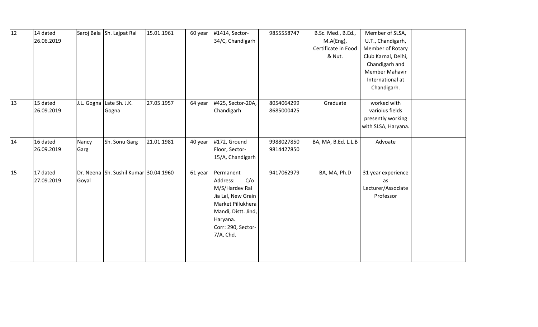| 12 | 14 dated<br>26.06.2019 |               | Saroj Bala Sh. Lajpat Rai             | 15.01.1961 | 60 year | #1414, Sector-<br>34/C, Chandigarh                                                                                                                              | 9855558747               | B.Sc. Med., B.Ed.,<br>M.A(Eng),<br>Certificate in Food<br>& Nut. | Member of SLSA,<br>U.T., Chandigarh,<br>Member of Rotary<br>Club Karnal, Delhi,<br>Chandigarh and<br><b>Member Mahavir</b><br>International at<br>Chandigarh. |  |
|----|------------------------|---------------|---------------------------------------|------------|---------|-----------------------------------------------------------------------------------------------------------------------------------------------------------------|--------------------------|------------------------------------------------------------------|---------------------------------------------------------------------------------------------------------------------------------------------------------------|--|
| 13 | 15 dated<br>26.09.2019 |               | J.L. Gogna Late Sh. J.K.<br>Gogna     | 27.05.1957 | 64 year | #425, Sector-20A,<br>Chandigarh                                                                                                                                 | 8054064299<br>8685000425 | Graduate                                                         | worked with<br>varioius fields<br>presently working<br>with SLSA, Haryana.                                                                                    |  |
| 14 | 16 dated<br>26.09.2019 | Nancy<br>Garg | Sh. Sonu Garg                         | 21.01.1981 | 40 year | #172, Ground<br>Floor, Sector-<br>15/A, Chandigarh                                                                                                              | 9988027850<br>9814427850 | BA, MA, B.Ed. L.L.B                                              | Advoate                                                                                                                                                       |  |
| 15 | 17 dated<br>27.09.2019 | Goyal         | Dr. Neena Sh. Sushil Kumar 30.04.1960 |            | 61 year | Permanent<br>C/O<br>Address:<br>M/S/Hardev Rai<br>Jia Lal, New Grain<br>Market Pillukhera<br>Mandi, Distt. Jind,<br>Haryana.<br>Corr: 290, Sector-<br>7/A, Chd. | 9417062979               | BA, MA, Ph.D                                                     | 31 year experience<br>as<br>Lecturer/Associate<br>Professor                                                                                                   |  |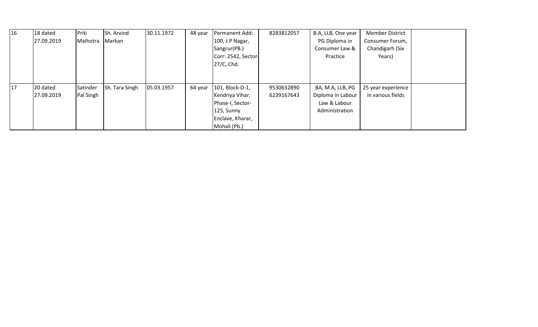| $\vert$ 16 | 18 dated   | Priti     | Sh. Arvind     | 30.11.1972 | 48 year | Permanent Add:      | 8283812057 | B.A, LLB, One year | <b>Member District</b> |  |
|------------|------------|-----------|----------------|------------|---------|---------------------|------------|--------------------|------------------------|--|
|            | 27.09.2019 | Malhotra  | Markan         |            |         | 100, J.P Nagar,     |            | PG Diploma in      | Consumer Forum,        |  |
|            |            |           |                |            |         | Sangrur(PB.)        |            | Consumer Law &     | Chandigarh (Six        |  |
|            |            |           |                |            |         | Corr: 2542, Sector- |            | Practice           | Years)                 |  |
|            |            |           |                |            |         | 27/C, Chd.          |            |                    |                        |  |
|            |            |           |                |            |         |                     |            |                    |                        |  |
|            |            |           |                |            |         |                     |            |                    |                        |  |
| 17         | 20 dated   | Satinder  | Sh. Tara Singh | 05.03.1957 | 64 year | 101, Block-D-1,     | 9530632890 | BA, M.A, LLB, PG   | 25 year experience     |  |
|            | 27.09.2019 | Pal Singh |                |            |         | Kendriya Vihar,     | 6239167643 | Diploma in Labour  | in various fields      |  |
|            |            |           |                |            |         | Phase-I, Sector-    |            | Law & Labour       |                        |  |
|            |            |           |                |            |         | 125, Sunny          |            | Administration     |                        |  |
|            |            |           |                |            |         | Enclave, Kharar,    |            |                    |                        |  |
|            |            |           |                |            |         | Mohali (Pb.)        |            |                    |                        |  |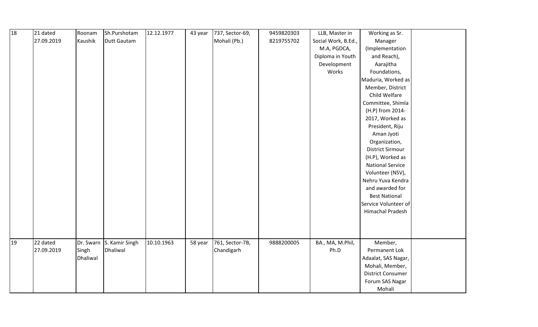| 18 | 21 dated   | Roonam   | Sh.Purshotam             | 12.12.1977 | 43 year | 737, Sector-69, | 9459820303 | LLB, Master in      | Working as Sr.           |  |
|----|------------|----------|--------------------------|------------|---------|-----------------|------------|---------------------|--------------------------|--|
|    | 27.09.2019 | Kaushik  | Dutt Gautam              |            |         | Mohali (Pb.)    | 8219755702 | Social Work, B.Ed., | Manager                  |  |
|    |            |          |                          |            |         |                 |            | M.A, PGDCA,         | (Implementation          |  |
|    |            |          |                          |            |         |                 |            | Diploma in Youth    | and Reach),              |  |
|    |            |          |                          |            |         |                 |            | Development         | Aarajitha                |  |
|    |            |          |                          |            |         |                 |            | Works               | Foundations,             |  |
|    |            |          |                          |            |         |                 |            |                     | Maduria, Worked as       |  |
|    |            |          |                          |            |         |                 |            |                     | Member, District         |  |
|    |            |          |                          |            |         |                 |            |                     | Child Welfare            |  |
|    |            |          |                          |            |         |                 |            |                     | Committee, Shimla        |  |
|    |            |          |                          |            |         |                 |            |                     | (H.P) from 2014-         |  |
|    |            |          |                          |            |         |                 |            |                     | 2017, Worked as          |  |
|    |            |          |                          |            |         |                 |            |                     | President, Riju          |  |
|    |            |          |                          |            |         |                 |            |                     | Aman Jyoti               |  |
|    |            |          |                          |            |         |                 |            |                     | Organization,            |  |
|    |            |          |                          |            |         |                 |            |                     | <b>District Sirmour</b>  |  |
|    |            |          |                          |            |         |                 |            |                     | (H.P), Worked as         |  |
|    |            |          |                          |            |         |                 |            |                     | <b>National Service</b>  |  |
|    |            |          |                          |            |         |                 |            |                     | Volunteer (NSV),         |  |
|    |            |          |                          |            |         |                 |            |                     | Nehru Yuva Kendra        |  |
|    |            |          |                          |            |         |                 |            |                     | and awarded for          |  |
|    |            |          |                          |            |         |                 |            |                     | <b>Best National</b>     |  |
|    |            |          |                          |            |         |                 |            |                     | Service Volunteer of     |  |
|    |            |          |                          |            |         |                 |            |                     | Himachal Pradesh         |  |
|    |            |          |                          |            |         |                 |            |                     |                          |  |
|    |            |          |                          |            |         |                 |            |                     |                          |  |
|    |            |          |                          |            |         |                 |            |                     |                          |  |
| 19 | 22 dated   |          | Dr. Swarn S. Kamir Singh | 10.10.1963 | 58 year | 761, Sector-7B, | 9888200005 | BA., MA, M.Phil,    | Member,                  |  |
|    | 27.09.2019 | Singh    | Dhaliwal                 |            |         | Chandigarh      |            | Ph.D                | Permanent Lok            |  |
|    |            | Dhaliwal |                          |            |         |                 |            |                     | Adaalat, SAS Nagar,      |  |
|    |            |          |                          |            |         |                 |            |                     | Mohali, Member,          |  |
|    |            |          |                          |            |         |                 |            |                     | <b>District Consumer</b> |  |
|    |            |          |                          |            |         |                 |            |                     | Forum SAS Nagar          |  |
|    |            |          |                          |            |         |                 |            |                     | Mohali                   |  |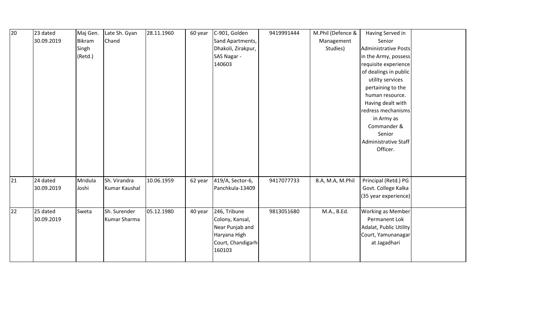| 20 | 23 dated   | Maj Gen. | Late Sh. Gyan | 28.11.1960 | 60 year | C-901, Golden      | 9419991444 | M.Phil (Defence & | Having Served in         |  |
|----|------------|----------|---------------|------------|---------|--------------------|------------|-------------------|--------------------------|--|
|    | 30.09.2019 | Bikram   | Chand         |            |         | Sand Apartments,   |            | Management        | Senior                   |  |
|    |            | Singh    |               |            |         | Dhakoli, Zirakpur, |            | Studies)          | Administrative Posts     |  |
|    |            | (Retd.)  |               |            |         | SAS Nagar -        |            |                   | in the Army, possess     |  |
|    |            |          |               |            |         | 140603             |            |                   | requisite experience     |  |
|    |            |          |               |            |         |                    |            |                   | of dealings in public    |  |
|    |            |          |               |            |         |                    |            |                   | utility services         |  |
|    |            |          |               |            |         |                    |            |                   | pertaining to the        |  |
|    |            |          |               |            |         |                    |            |                   | human resource.          |  |
|    |            |          |               |            |         |                    |            |                   | Having dealt with        |  |
|    |            |          |               |            |         |                    |            |                   | redress mechanisms       |  |
|    |            |          |               |            |         |                    |            |                   | in Army as               |  |
|    |            |          |               |            |         |                    |            |                   | Commander &              |  |
|    |            |          |               |            |         |                    |            |                   | Senior                   |  |
|    |            |          |               |            |         |                    |            |                   | Administrative Staff     |  |
|    |            |          |               |            |         |                    |            |                   | Officer.                 |  |
|    |            |          |               |            |         |                    |            |                   |                          |  |
|    |            |          |               |            |         |                    |            |                   |                          |  |
|    |            |          |               |            |         |                    |            |                   |                          |  |
| 21 | 24 dated   | Mridula  | Sh. Virandra  | 10.06.1959 | 62 year | 419/A, Sector-6,   | 9417077733 | B.A, M.A, M.Phil  | Principal (Retd.) PG     |  |
|    | 30.09.2019 | Joshi    | Kumar Kaushal |            |         | Panchkula-13409    |            |                   | Govt. College Kalka      |  |
|    |            |          |               |            |         |                    |            |                   | (35 year experience)     |  |
|    |            |          |               |            |         |                    |            |                   |                          |  |
| 22 | 25 dated   | Sweta    | Sh. Surender  | 05.12.1980 | 40 year | 246, Tribune       | 9813051680 | M.A., B.Ed.       | <b>Working as Member</b> |  |
|    | 30.09.2019 |          | Kumar Sharma  |            |         | Colony, Kansal,    |            |                   | Permanent Lok            |  |
|    |            |          |               |            |         | Near Punjab and    |            |                   | Adalat, Public Utility   |  |
|    |            |          |               |            |         | Haryana High       |            |                   | Court, Yamunanagar       |  |
|    |            |          |               |            |         | Court, Chandigarh- |            |                   | at Jagadhari             |  |
|    |            |          |               |            |         | 160103             |            |                   |                          |  |
|    |            |          |               |            |         |                    |            |                   |                          |  |